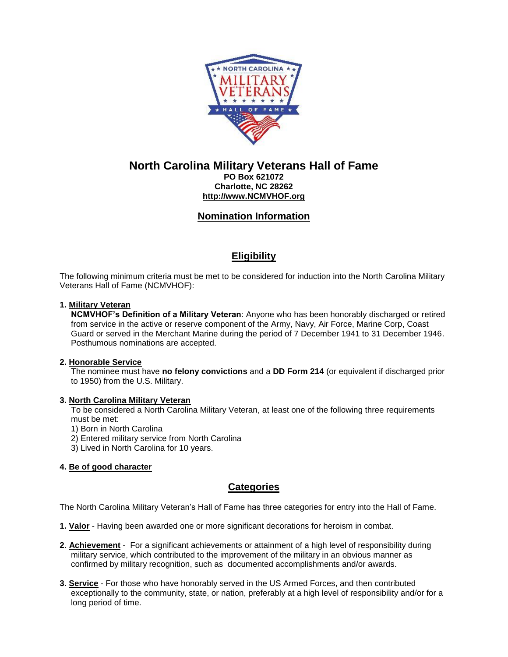

# **North Carolina Military Veterans Hall of Fame**

**PO Box 621072 Charlotte, NC 28262 [http://www.NCMVHOF.org](http://www.gmvhof.org/)**

# **Nomination Information**

# **Eligibility**

The following minimum criteria must be met to be considered for induction into the North Carolina Military Veterans Hall of Fame (NCMVHOF):

### **1. Military Veteran**

**NCMVHOF's Definition of a Military Veteran**: Anyone who has been honorably discharged or retired from service in the active or reserve component of the Army, Navy, Air Force, Marine Corp, Coast Guard or served in the Merchant Marine during the period of 7 December 1941 to 31 December 1946. Posthumous nominations are accepted.

#### **2. Honorable Service**

The nominee must have **no felony convictions** and a **DD Form 214** (or equivalent if discharged prior to 1950) from the U.S. Military.

#### **3. North Carolina Military Veteran**

To be considered a North Carolina Military Veteran, at least one of the following three requirements must be met:

1) Born in North Carolina

- 2) Entered military service from North Carolina
- 3) Lived in North Carolina for 10 years.

### **4. Be of good character**

### **Categories**

The North Carolina Military Veteran's Hall of Fame has three categories for entry into the Hall of Fame.

**1. Valor** - Having been awarded one or more significant decorations for heroism in combat.

- **2**. **Achievement** For a significant achievements or attainment of a high level of responsibility during military service, which contributed to the improvement of the military in an obvious manner as confirmed by military recognition, such as documented accomplishments and/or awards.
- **3. Service** For those who have honorably served in the US Armed Forces, and then contributed exceptionally to the community, state, or nation, preferably at a high level of responsibility and/or for a long period of time.